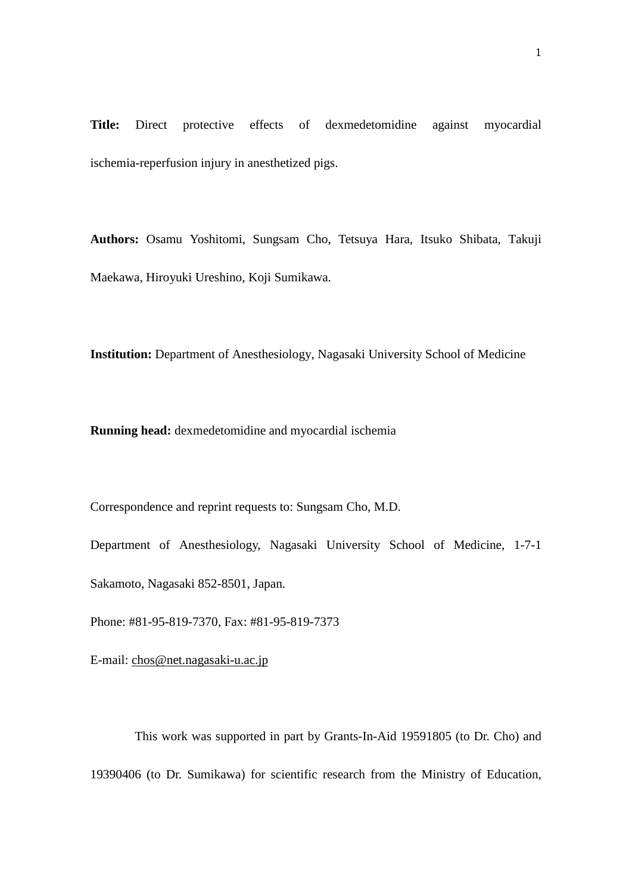**Title:** Direct protective effects of dexmedetomidine against myocardial ischemia-reperfusion injury in anesthetized pigs.

**Authors:** Osamu Yoshitomi, Sungsam Cho, Tetsuya Hara, Itsuko Shibata, Takuji Maekawa, Hiroyuki Ureshino, Koji Sumikawa.

**Institution:** Department of Anesthesiology, Nagasaki University School of Medicine

**Running head:** dexmedetomidine and myocardial ischemia

Correspondence and reprint requests to: Sungsam Cho, M.D.

Department of Anesthesiology, Nagasaki University School of Medicine, 1-7-1 Sakamoto, Nagasaki 852-8501, Japan.

Phone: #81-95-819-7370, Fax: #81-95-819-7373

E-mail: [chos@net.nagasaki-u.ac.jp](mailto:chos@net.nagasaki-u.ac.jp)

This work was supported in part by Grants-In-Aid 19591805 (to Dr. Cho) and 19390406 (to Dr. Sumikawa) for scientific research from the Ministry of Education,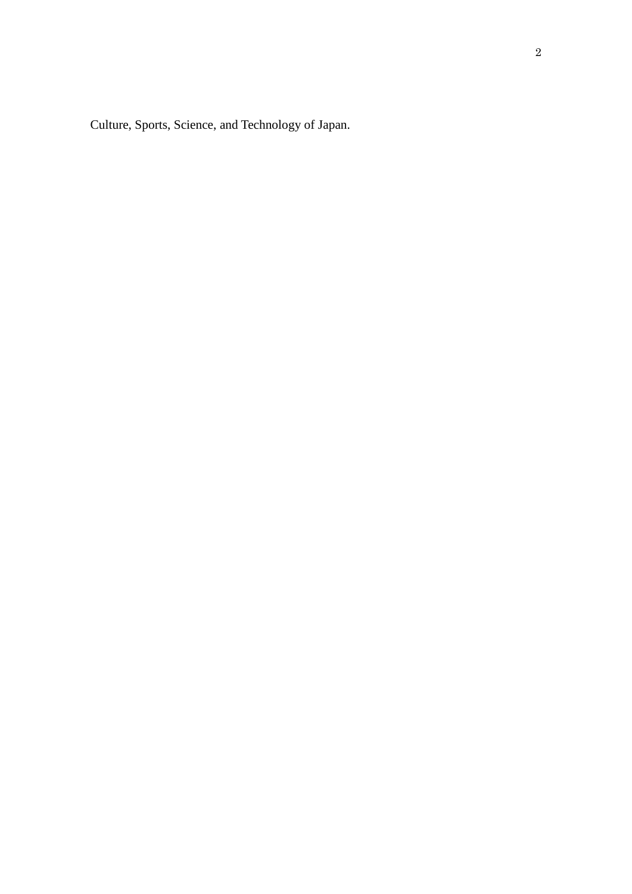Culture, Sports, Science, and Technology of Japan.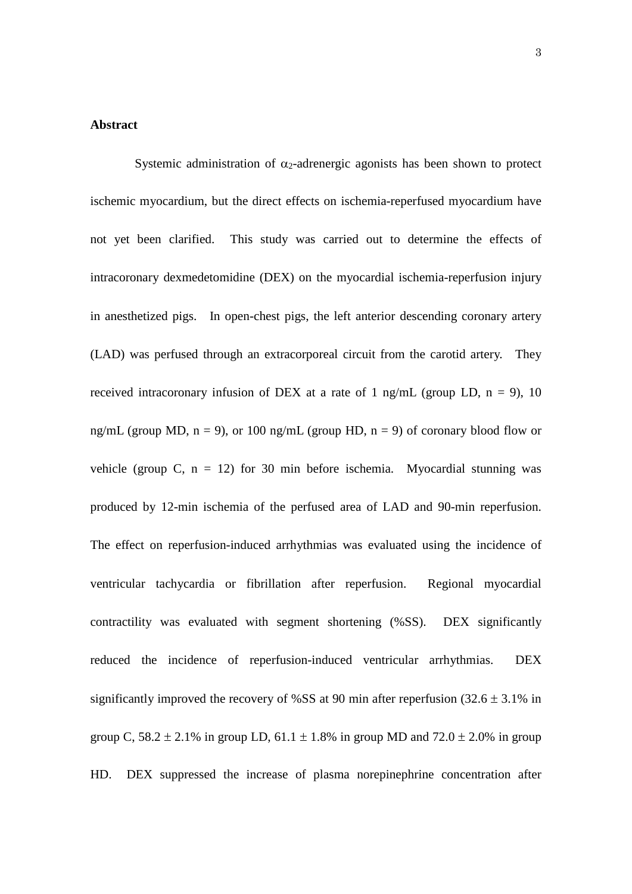## **Abstract**

Systemic administration of  $\alpha_2$ -adrenergic agonists has been shown to protect ischemic myocardium, but the direct effects on ischemia-reperfused myocardium have not yet been clarified. This study was carried out to determine the effects of intracoronary dexmedetomidine (DEX) on the myocardial ischemia-reperfusion injury in anesthetized pigs. In open-chest pigs, the left anterior descending coronary artery (LAD) was perfused through an extracorporeal circuit from the carotid artery. They received intracoronary infusion of DEX at a rate of 1 ng/mL (group LD,  $n = 9$ ), 10 ng/mL (group MD,  $n = 9$ ), or 100 ng/mL (group HD,  $n = 9$ ) of coronary blood flow or vehicle (group C,  $n = 12$ ) for 30 min before ischemia. Myocardial stunning was produced by 12-min ischemia of the perfused area of LAD and 90-min reperfusion. The effect on reperfusion-induced arrhythmias was evaluated using the incidence of ventricular tachycardia or fibrillation after reperfusion. Regional myocardial contractility was evaluated with segment shortening (%SS). DEX significantly reduced the incidence of reperfusion-induced ventricular arrhythmias. DEX significantly improved the recovery of %SS at 90 min after reperfusion  $(32.6 \pm 3.1\%)$  in group C,  $58.2 \pm 2.1\%$  in group LD,  $61.1 \pm 1.8\%$  in group MD and  $72.0 \pm 2.0\%$  in group HD. DEX suppressed the increase of plasma norepinephrine concentration after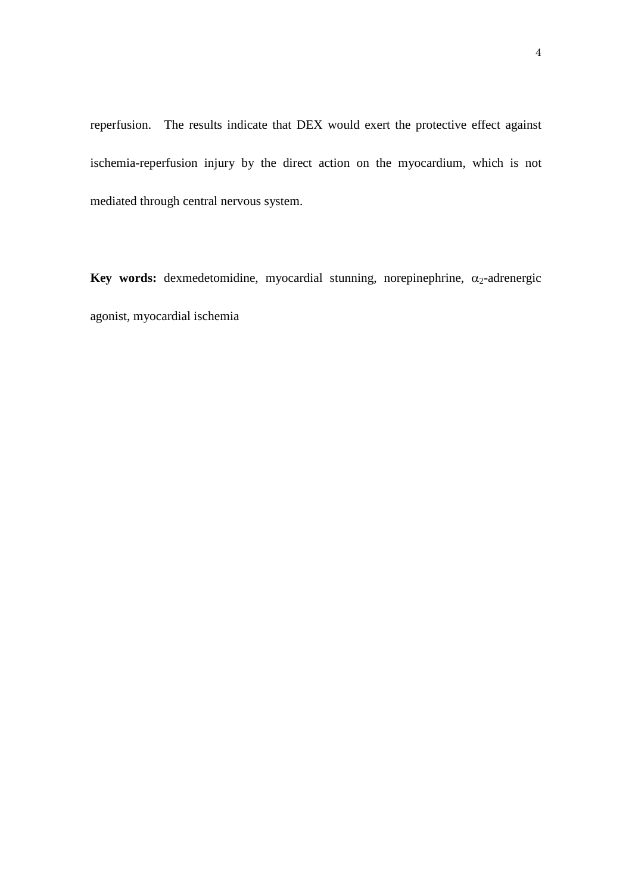reperfusion. The results indicate that DEX would exert the protective effect against ischemia-reperfusion injury by the direct action on the myocardium, which is not mediated through central nervous system.

**Key words:** dexmedetomidine, myocardial stunning, norepinephrine,  $\alpha_2$ -adrenergic agonist, myocardial ischemia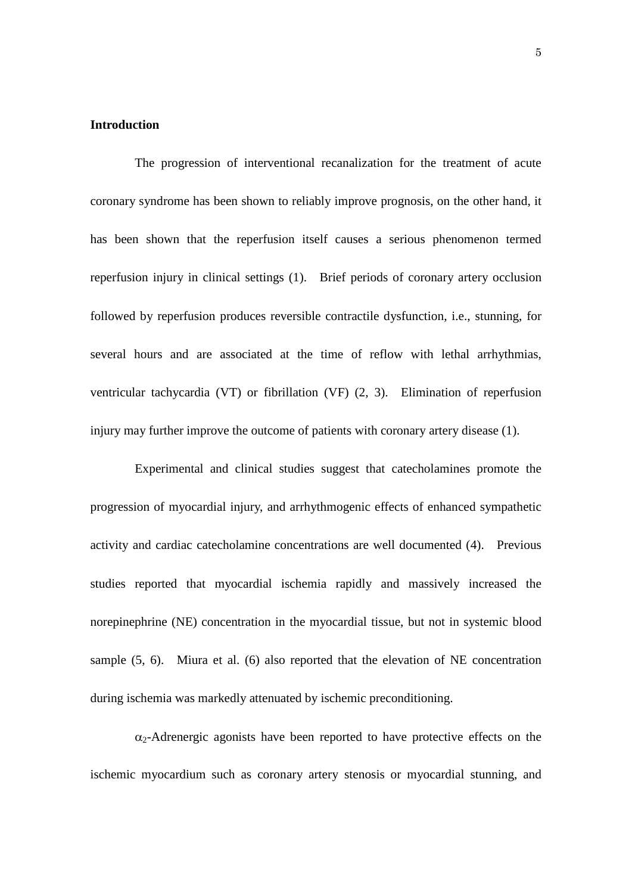## **Introduction**

The progression of interventional recanalization for the treatment of acute coronary syndrome has been shown to reliably improve prognosis, on the other hand, it has been shown that the reperfusion itself causes a serious phenomenon termed reperfusion injury in clinical settings (1). Brief periods of coronary artery occlusion followed by reperfusion produces reversible contractile dysfunction, i.e., stunning, for several hours and are associated at the time of reflow with lethal arrhythmias, ventricular tachycardia (VT) or fibrillation (VF) (2, 3). Elimination of reperfusion injury may further improve the outcome of patients with coronary artery disease (1).

Experimental and clinical studies suggest that catecholamines promote the progression of myocardial injury, and arrhythmogenic effects of enhanced sympathetic activity and cardiac catecholamine concentrations are well documented (4). Previous studies reported that myocardial ischemia rapidly and massively increased the norepinephrine (NE) concentration in the myocardial tissue, but not in systemic blood sample (5, 6). Miura et al. (6) also reported that the elevation of NE concentration during ischemia was markedly attenuated by ischemic preconditioning.

 $\alpha_2$ -Adrenergic agonists have been reported to have protective effects on the ischemic myocardium such as coronary artery stenosis or myocardial stunning, and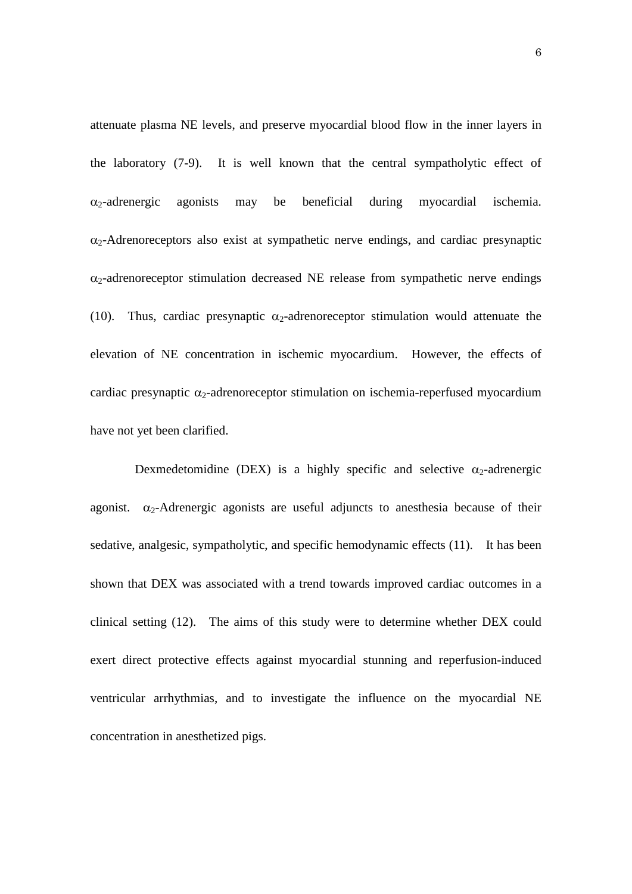attenuate plasma NE levels, and preserve myocardial blood flow in the inner layers in the laboratory (7-9). It is well known that the central sympatholytic effect of  $\alpha_2$ -adrenergic agonists may be beneficial during myocardial ischemia.  $\alpha_2$ -Adrenoreceptors also exist at sympathetic nerve endings, and cardiac presynaptic  $\alpha_2$ -adrenoreceptor stimulation decreased NE release from sympathetic nerve endings (10). Thus, cardiac presynaptic  $\alpha_2$ -adrenoreceptor stimulation would attenuate the elevation of NE concentration in ischemic myocardium. However, the effects of cardiac presynaptic  $\alpha_2$ -adrenoreceptor stimulation on ischemia-reperfused myocardium have not yet been clarified.

Dexmedetomidine (DEX) is a highly specific and selective  $\alpha_2$ -adrenergic agonist.  $\alpha_2$ -Adrenergic agonists are useful adjuncts to anesthesia because of their sedative, analgesic, sympatholytic, and specific hemodynamic effects (11). It has been shown that DEX was associated with a trend towards improved cardiac outcomes in a clinical setting (12). The aims of this study were to determine whether DEX could exert direct protective effects against myocardial stunning and reperfusion-induced ventricular arrhythmias, and to investigate the influence on the myocardial NE concentration in anesthetized pigs.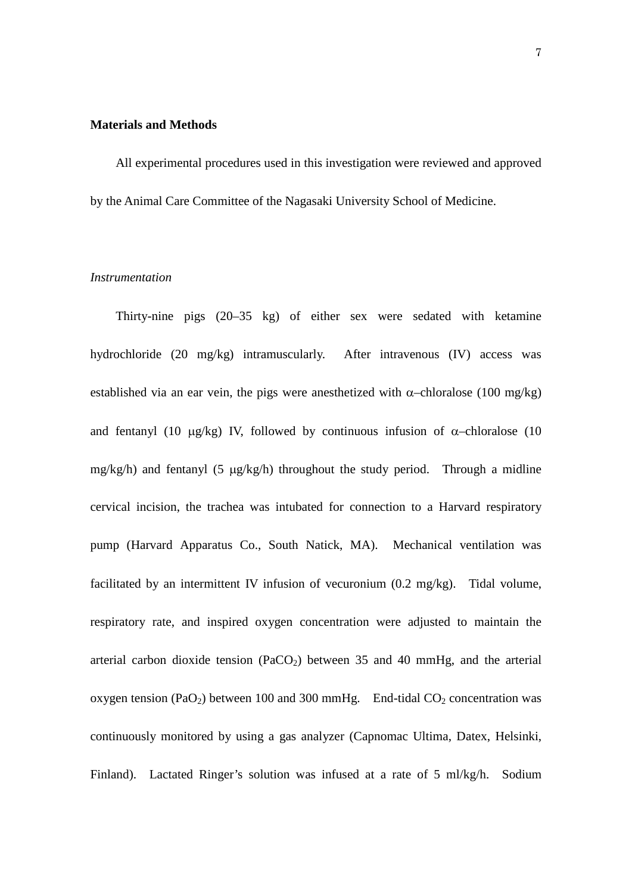## **Materials and Methods**

All experimental procedures used in this investigation were reviewed and approved by the Animal Care Committee of the Nagasaki University School of Medicine.

### *Instrumentation*

Thirty-nine pigs (20–35 kg) of either sex were sedated with ketamine hydrochloride (20 mg/kg) intramuscularly. After intravenous (IV) access was established via an ear vein, the pigs were anesthetized with  $\alpha$ –chloralose (100 mg/kg) and fentanyl (10  $\mu$ g/kg) IV, followed by continuous infusion of  $\alpha$ -chloralose (10 mg/kg/h) and fentanyl (5 µg/kg/h) throughout the study period. Through a midline cervical incision, the trachea was intubated for connection to a Harvard respiratory pump (Harvard Apparatus Co., South Natick, MA). Mechanical ventilation was facilitated by an intermittent IV infusion of vecuronium (0.2 mg/kg). Tidal volume, respiratory rate, and inspired oxygen concentration were adjusted to maintain the arterial carbon dioxide tension (PaCO<sub>2</sub>) between 35 and 40 mmHg, and the arterial oxygen tension (PaO<sub>2</sub>) between 100 and 300 mmHg. End-tidal  $CO_2$  concentration was continuously monitored by using a gas analyzer (Capnomac Ultima, Datex, Helsinki, Finland). Lactated Ringer's solution was infused at a rate of 5 ml/kg/h. Sodium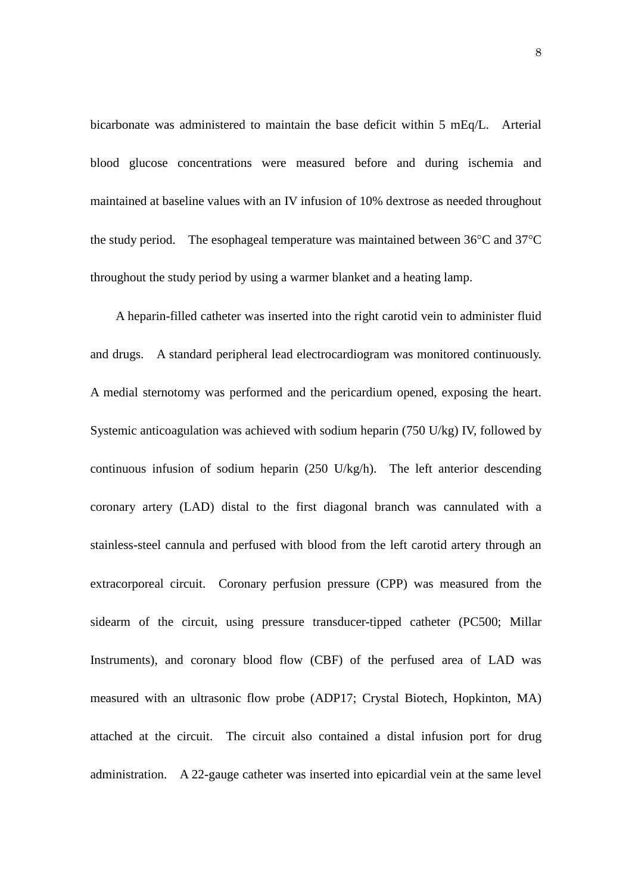bicarbonate was administered to maintain the base deficit within 5 mEq/L. Arterial blood glucose concentrations were measured before and during ischemia and maintained at baseline values with an IV infusion of 10% dextrose as needed throughout the study period. The esophageal temperature was maintained between 36°C and 37°C throughout the study period by using a warmer blanket and a heating lamp.

A heparin-filled catheter was inserted into the right carotid vein to administer fluid and drugs. A standard peripheral lead electrocardiogram was monitored continuously. A medial sternotomy was performed and the pericardium opened, exposing the heart. Systemic anticoagulation was achieved with sodium heparin (750 U/kg) IV, followed by continuous infusion of sodium heparin (250 U/kg/h). The left anterior descending coronary artery (LAD) distal to the first diagonal branch was cannulated with a stainless-steel cannula and perfused with blood from the left carotid artery through an extracorporeal circuit. Coronary perfusion pressure (CPP) was measured from the sidearm of the circuit, using pressure transducer-tipped catheter (PC500; Millar Instruments), and coronary blood flow (CBF) of the perfused area of LAD was measured with an ultrasonic flow probe (ADP17; Crystal Biotech, Hopkinton, MA) attached at the circuit. The circuit also contained a distal infusion port for drug administration. A 22-gauge catheter was inserted into epicardial vein at the same level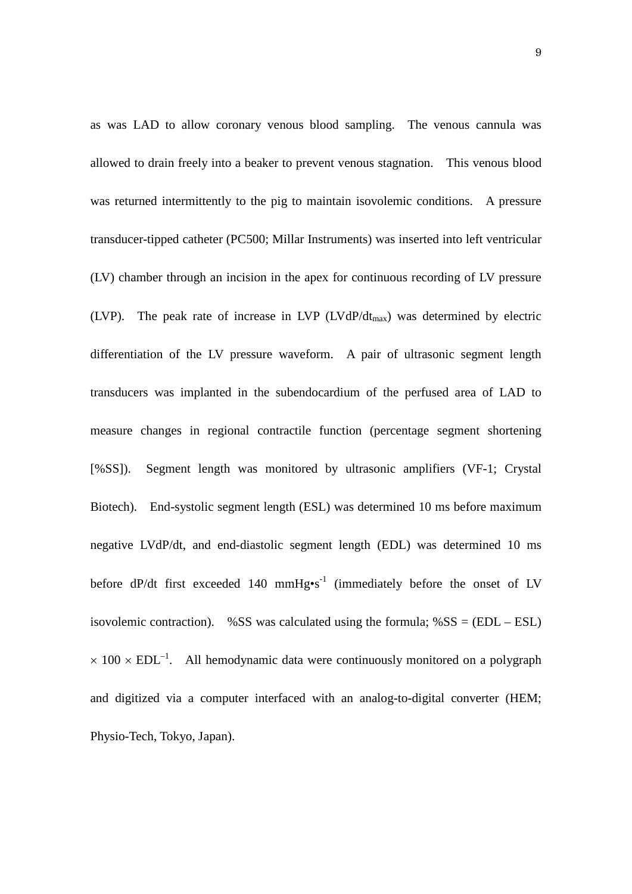as was LAD to allow coronary venous blood sampling. The venous cannula was allowed to drain freely into a beaker to prevent venous stagnation. This venous blood was returned intermittently to the pig to maintain isovolemic conditions. A pressure transducer-tipped catheter (PC500; Millar Instruments) was inserted into left ventricular (LV) chamber through an incision in the apex for continuous recording of LV pressure (LVP). The peak rate of increase in LVP (LVdP/dt<sub>max</sub>) was determined by electric differentiation of the LV pressure waveform. A pair of ultrasonic segment length transducers was implanted in the subendocardium of the perfused area of LAD to measure changes in regional contractile function (percentage segment shortening [%SS]). Segment length was monitored by ultrasonic amplifiers (VF-1; Crystal Biotech). End-systolic segment length (ESL) was determined 10 ms before maximum negative LVdP/dt, and end-diastolic segment length (EDL) was determined 10 ms before  $dP/dt$  first exceeded 140 mmHg $\cdot$ s<sup>-1</sup> (immediately before the onset of LV isovolemic contraction). %SS was calculated using the formula;  $%SS = (EDL - ESL)$  $\times$  100  $\times$  EDL<sup>-1</sup>. All hemodynamic data were continuously monitored on a polygraph and digitized via a computer interfaced with an analog-to-digital converter (HEM; Physio-Tech, Tokyo, Japan).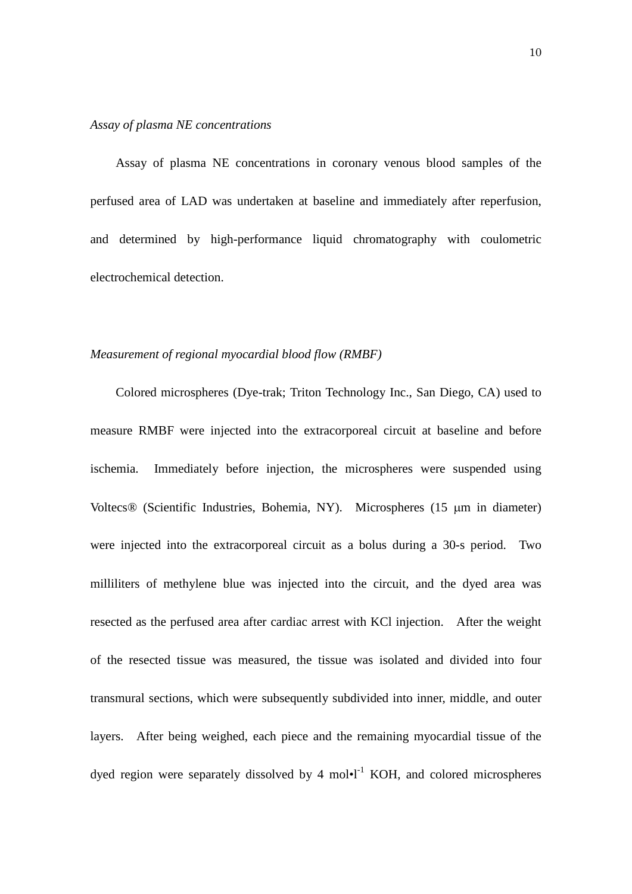### *Assay of plasma NE concentrations*

Assay of plasma NE concentrations in coronary venous blood samples of the perfused area of LAD was undertaken at baseline and immediately after reperfusion, and determined by high-performance liquid chromatography with coulometric electrochemical detection.

### *Measurement of regional myocardial blood flow (RMBF)*

Colored microspheres (Dye-trak; Triton Technology Inc., San Diego, CA) used to measure RMBF were injected into the extracorporeal circuit at baseline and before ischemia. Immediately before injection, the microspheres were suspended using Voltecs® (Scientific Industries, Bohemia, NY). Microspheres (15 µm in diameter) were injected into the extracorporeal circuit as a bolus during a 30-s period. Two milliliters of methylene blue was injected into the circuit, and the dyed area was resected as the perfused area after cardiac arrest with KCl injection. After the weight of the resected tissue was measured, the tissue was isolated and divided into four transmural sections, which were subsequently subdivided into inner, middle, and outer layers. After being weighed, each piece and the remaining myocardial tissue of the dyed region were separately dissolved by 4 mol $\cdot$ <sup>1</sup> KOH, and colored microspheres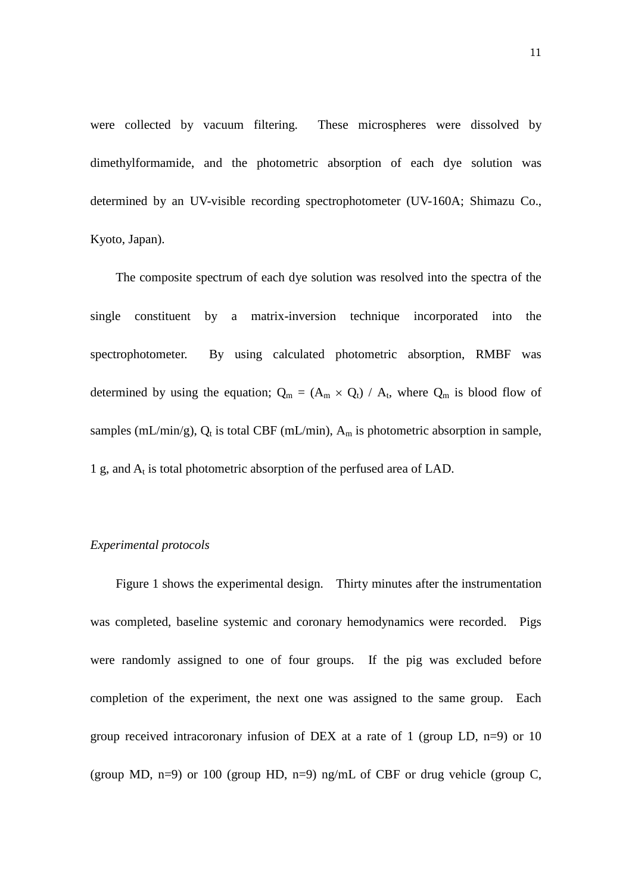were collected by vacuum filtering. These microspheres were dissolved by dimethylformamide, and the photometric absorption of each dye solution was determined by an UV-visible recording spectrophotometer (UV-160A; Shimazu Co., Kyoto, Japan).

The composite spectrum of each dye solution was resolved into the spectra of the single constituent by a matrix-inversion technique incorporated into the spectrophotometer. By using calculated photometric absorption, RMBF was determined by using the equation;  $Q_m = (A_m \times Q_t) / A_t$ , where  $Q_m$  is blood flow of samples (mL/min/g),  $Q_t$  is total CBF (mL/min),  $A_m$  is photometric absorption in sample, 1 g, and  $A_t$  is total photometric absorption of the perfused area of LAD.

# *Experimental protocols*

Figure 1 shows the experimental design. Thirty minutes after the instrumentation was completed, baseline systemic and coronary hemodynamics were recorded. Pigs were randomly assigned to one of four groups. If the pig was excluded before completion of the experiment, the next one was assigned to the same group. Each group received intracoronary infusion of DEX at a rate of 1 (group LD,  $n=9$ ) or 10 (group MD,  $n=9$ ) or 100 (group HD,  $n=9$ )  $n\pi$ g/mL of CBF or drug vehicle (group C,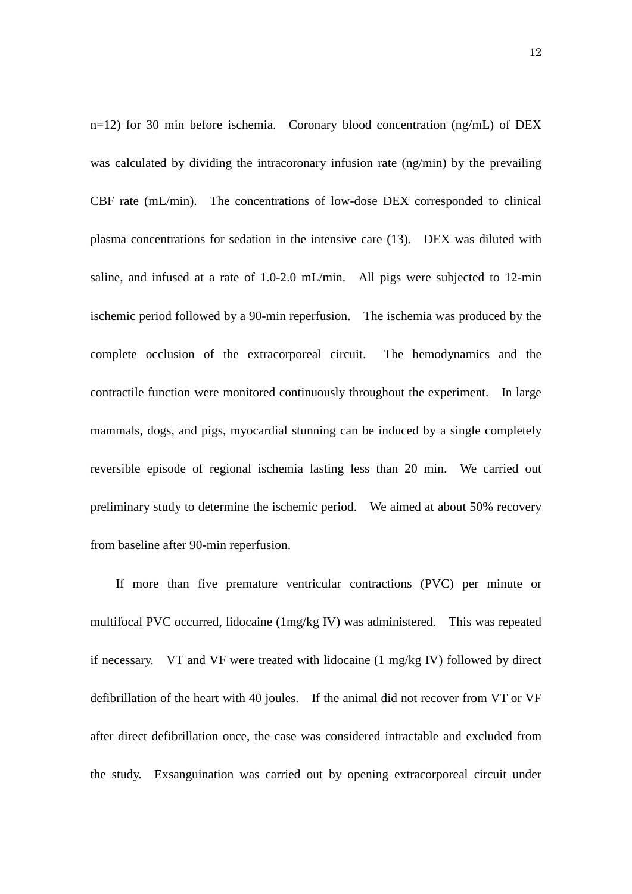n=12) for 30 min before ischemia. Coronary blood concentration (ng/mL) of DEX was calculated by dividing the intracoronary infusion rate (ng/min) by the prevailing CBF rate (mL/min). The concentrations of low-dose DEX corresponded to clinical plasma concentrations for sedation in the intensive care (13). DEX was diluted with saline, and infused at a rate of 1.0-2.0 mL/min. All pigs were subjected to 12-min ischemic period followed by a 90-min reperfusion. The ischemia was produced by the complete occlusion of the extracorporeal circuit. The hemodynamics and the contractile function were monitored continuously throughout the experiment. In large mammals, dogs, and pigs, myocardial stunning can be induced by a single completely reversible episode of regional ischemia lasting less than 20 min. We carried out preliminary study to determine the ischemic period. We aimed at about 50% recovery from baseline after 90-min reperfusion.

If more than five premature ventricular contractions (PVC) per minute or multifocal PVC occurred, lidocaine (1mg/kg IV) was administered. This was repeated if necessary. VT and VF were treated with lidocaine (1 mg/kg IV) followed by direct defibrillation of the heart with 40 joules. If the animal did not recover from VT or VF after direct defibrillation once, the case was considered intractable and excluded from the study. Exsanguination was carried out by opening extracorporeal circuit under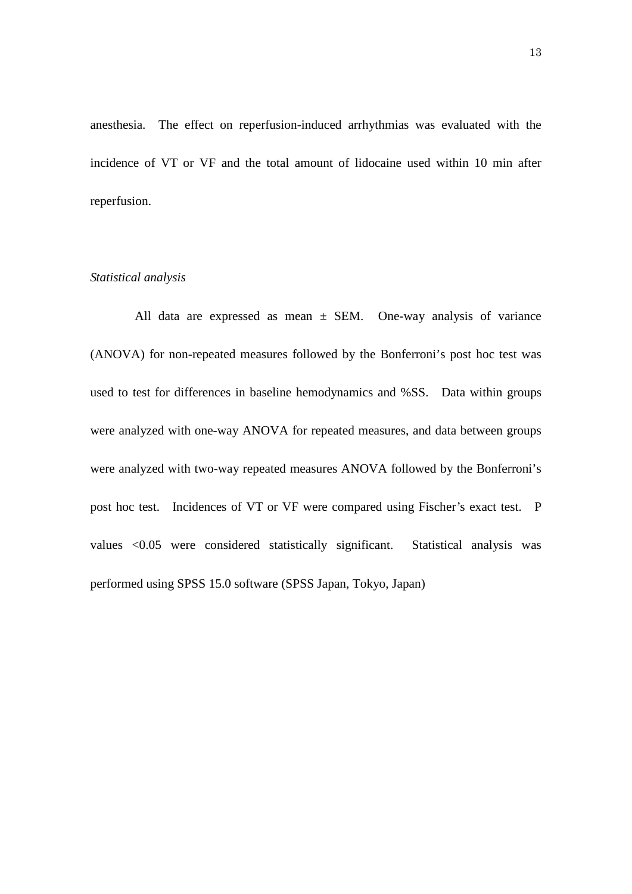anesthesia. The effect on reperfusion-induced arrhythmias was evaluated with the incidence of VT or VF and the total amount of lidocaine used within 10 min after reperfusion.

#### *Statistical analysis*

All data are expressed as mean  $\pm$  SEM. One-way analysis of variance (ANOVA) for non-repeated measures followed by the Bonferroni's post hoc test was used to test for differences in baseline hemodynamics and %SS. Data within groups were analyzed with one-way ANOVA for repeated measures, and data between groups were analyzed with two-way repeated measures ANOVA followed by the Bonferroni's post hoc test. Incidences of VT or VF were compared using Fischer's exact test. P values <0.05 were considered statistically significant. Statistical analysis was performed using SPSS 15.0 software (SPSS Japan, Tokyo, Japan)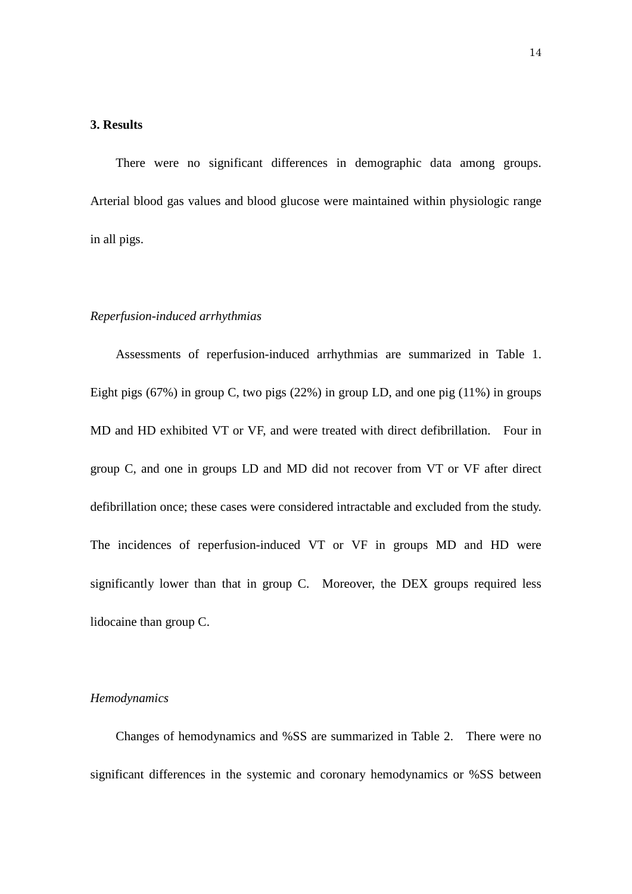### **3. Results**

There were no significant differences in demographic data among groups. Arterial blood gas values and blood glucose were maintained within physiologic range in all pigs.

#### *Reperfusion-induced arrhythmias*

Assessments of reperfusion-induced arrhythmias are summarized in Table 1. Eight pigs (67%) in group C, two pigs (22%) in group LD, and one pig (11%) in groups MD and HD exhibited VT or VF, and were treated with direct defibrillation. Four in group C, and one in groups LD and MD did not recover from VT or VF after direct defibrillation once; these cases were considered intractable and excluded from the study. The incidences of reperfusion-induced VT or VF in groups MD and HD were significantly lower than that in group C. Moreover, the DEX groups required less lidocaine than group C.

### *Hemodynamics*

Changes of hemodynamics and %SS are summarized in Table 2. There were no significant differences in the systemic and coronary hemodynamics or %SS between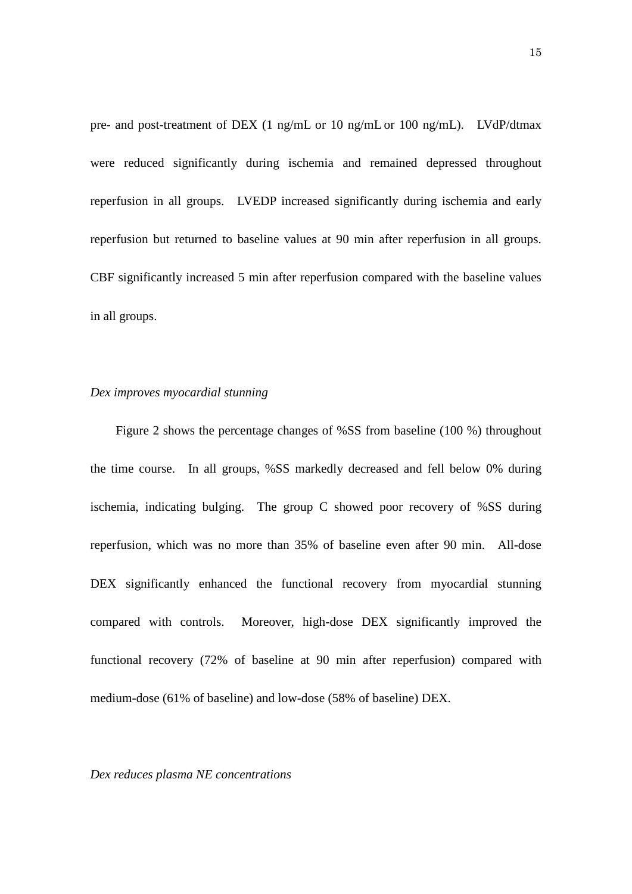pre- and post-treatment of DEX (1 ng/mL or 10 ng/mL or 100 ng/mL). LVdP/dtmax were reduced significantly during ischemia and remained depressed throughout reperfusion in all groups. LVEDP increased significantly during ischemia and early reperfusion but returned to baseline values at 90 min after reperfusion in all groups. CBF significantly increased 5 min after reperfusion compared with the baseline values in all groups.

## *Dex improves myocardial stunning*

Figure 2 shows the percentage changes of %SS from baseline (100 %) throughout the time course. In all groups, %SS markedly decreased and fell below 0% during ischemia, indicating bulging. The group C showed poor recovery of %SS during reperfusion, which was no more than 35% of baseline even after 90 min. All-dose DEX significantly enhanced the functional recovery from myocardial stunning compared with controls. Moreover, high-dose DEX significantly improved the functional recovery (72% of baseline at 90 min after reperfusion) compared with medium-dose (61% of baseline) and low-dose (58% of baseline) DEX.

#### *Dex reduces plasma NE concentrations*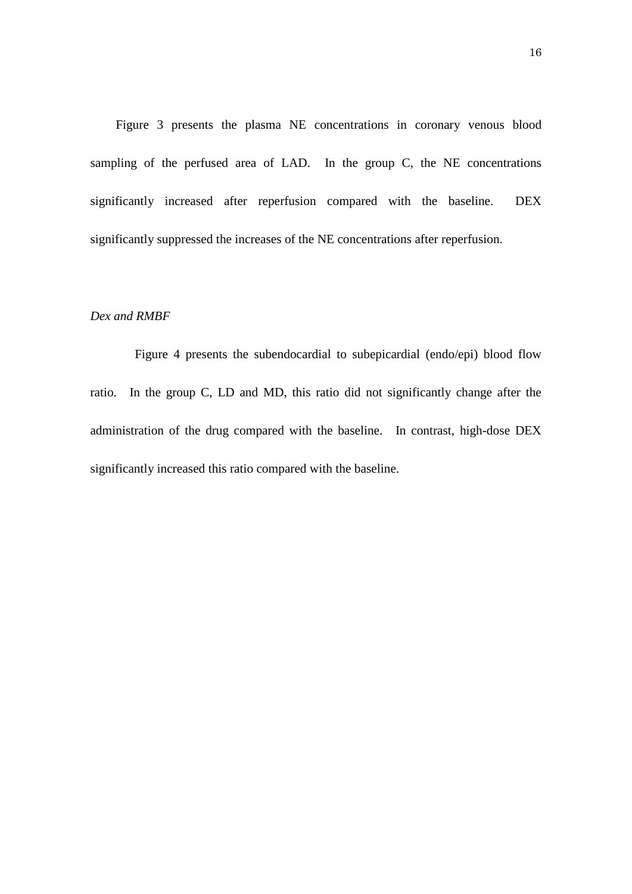Figure 3 presents the plasma NE concentrations in coronary venous blood sampling of the perfused area of LAD. In the group C, the NE concentrations significantly increased after reperfusion compared with the baseline. DEX significantly suppressed the increases of the NE concentrations after reperfusion.

### *Dex and RMBF*

Figure 4 presents the subendocardial to subepicardial (endo/epi) blood flow ratio. In the group C, LD and MD, this ratio did not significantly change after the administration of the drug compared with the baseline. In contrast, high-dose DEX significantly increased this ratio compared with the baseline.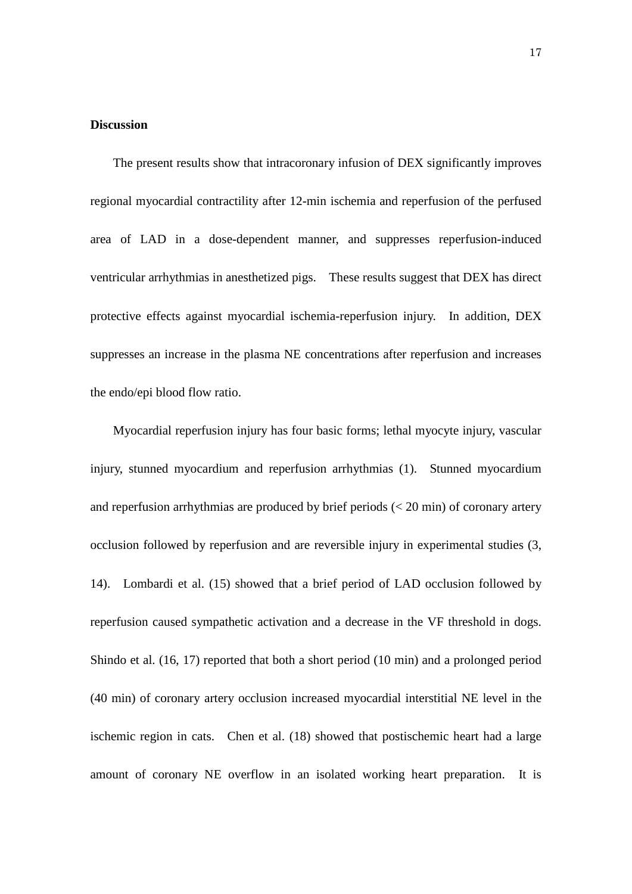### **Discussion**

The present results show that intracoronary infusion of DEX significantly improves regional myocardial contractility after 12-min ischemia and reperfusion of the perfused area of LAD in a dose-dependent manner, and suppresses reperfusion-induced ventricular arrhythmias in anesthetized pigs. These results suggest that DEX has direct protective effects against myocardial ischemia-reperfusion injury. In addition, DEX suppresses an increase in the plasma NE concentrations after reperfusion and increases the endo/epi blood flow ratio.

Myocardial reperfusion injury has four basic forms; lethal myocyte injury, vascular injury, stunned myocardium and reperfusion arrhythmias (1). Stunned myocardium and reperfusion arrhythmias are produced by brief periods (< 20 min) of coronary artery occlusion followed by reperfusion and are reversible injury in experimental studies (3, 14). Lombardi et al. (15) showed that a brief period of LAD occlusion followed by reperfusion caused sympathetic activation and a decrease in the VF threshold in dogs. Shindo et al. (16, 17) reported that both a short period (10 min) and a prolonged period (40 min) of coronary artery occlusion increased myocardial interstitial NE level in the ischemic region in cats. Chen et al. (18) showed that postischemic heart had a large amount of coronary NE overflow in an isolated working heart preparation. It is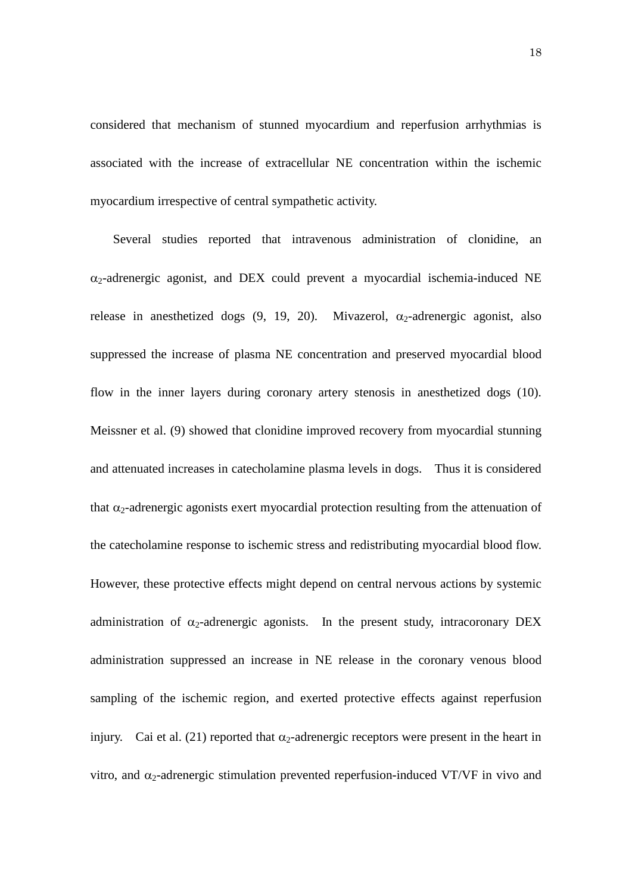considered that mechanism of stunned myocardium and reperfusion arrhythmias is associated with the increase of extracellular NE concentration within the ischemic myocardium irrespective of central sympathetic activity.

Several studies reported that intravenous administration of clonidine, an  $\alpha_2$ -adrenergic agonist, and DEX could prevent a myocardial ischemia-induced NE release in anesthetized dogs  $(9, 19, 20)$ . Mivazerol,  $\alpha_2$ -adrenergic agonist, also suppressed the increase of plasma NE concentration and preserved myocardial blood flow in the inner layers during coronary artery stenosis in anesthetized dogs (10). Meissner et al. (9) showed that clonidine improved recovery from myocardial stunning and attenuated increases in catecholamine plasma levels in dogs. Thus it is considered that  $\alpha_2$ -adrenergic agonists exert myocardial protection resulting from the attenuation of the catecholamine response to ischemic stress and redistributing myocardial blood flow. However, these protective effects might depend on central nervous actions by systemic administration of  $\alpha_2$ -adrenergic agonists. In the present study, intracoronary DEX administration suppressed an increase in NE release in the coronary venous blood sampling of the ischemic region, and exerted protective effects against reperfusion injury. Cai et al. (21) reported that  $\alpha_2$ -adrenergic receptors were present in the heart in vitro, and  $\alpha_2$ -adrenergic stimulation prevented reperfusion-induced VT/VF in vivo and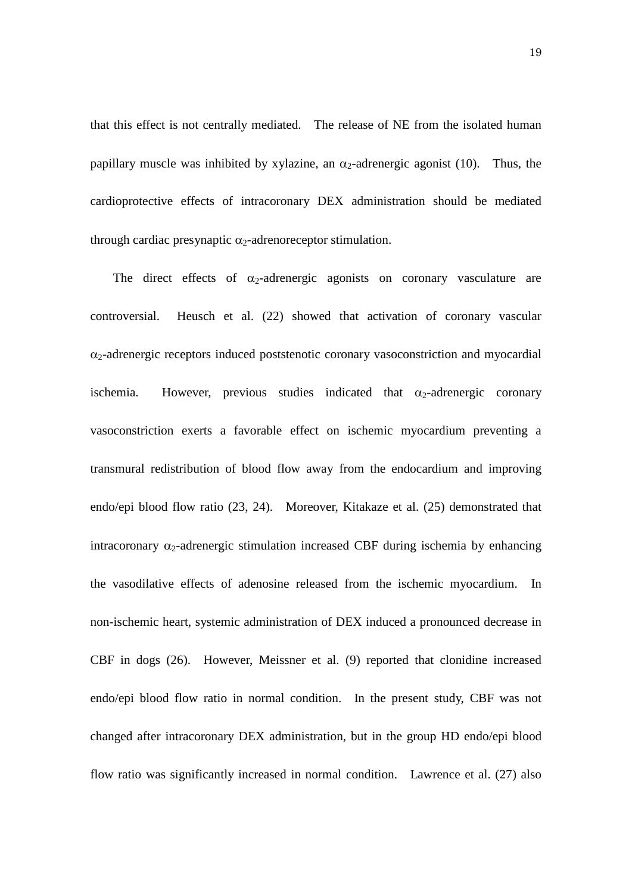that this effect is not centrally mediated. The release of NE from the isolated human papillary muscle was inhibited by xylazine, an  $\alpha_2$ -adrenergic agonist (10). Thus, the cardioprotective effects of intracoronary DEX administration should be mediated through cardiac presynaptic  $\alpha_2$ -adrenoreceptor stimulation.

The direct effects of  $\alpha_2$ -adrenergic agonists on coronary vasculature are controversial. Heusch et al. (22) showed that activation of coronary vascular  $\alpha_2$ -adrenergic receptors induced poststenotic coronary vasoconstriction and myocardial ischemia. However, previous studies indicated that  $\alpha_2$ -adrenergic coronary vasoconstriction exerts a favorable effect on ischemic myocardium preventing a transmural redistribution of blood flow away from the endocardium and improving endo/epi blood flow ratio (23, 24). Moreover, Kitakaze et al. (25) demonstrated that intracoronary  $\alpha_2$ -adrenergic stimulation increased CBF during ischemia by enhancing the vasodilative effects of adenosine released from the ischemic myocardium. In non-ischemic heart, systemic administration of DEX induced a pronounced decrease in CBF in dogs (26). However, Meissner et al. (9) reported that clonidine increased endo/epi blood flow ratio in normal condition. In the present study, CBF was not changed after intracoronary DEX administration, but in the group HD endo/epi blood flow ratio was significantly increased in normal condition. Lawrence et al. (27) also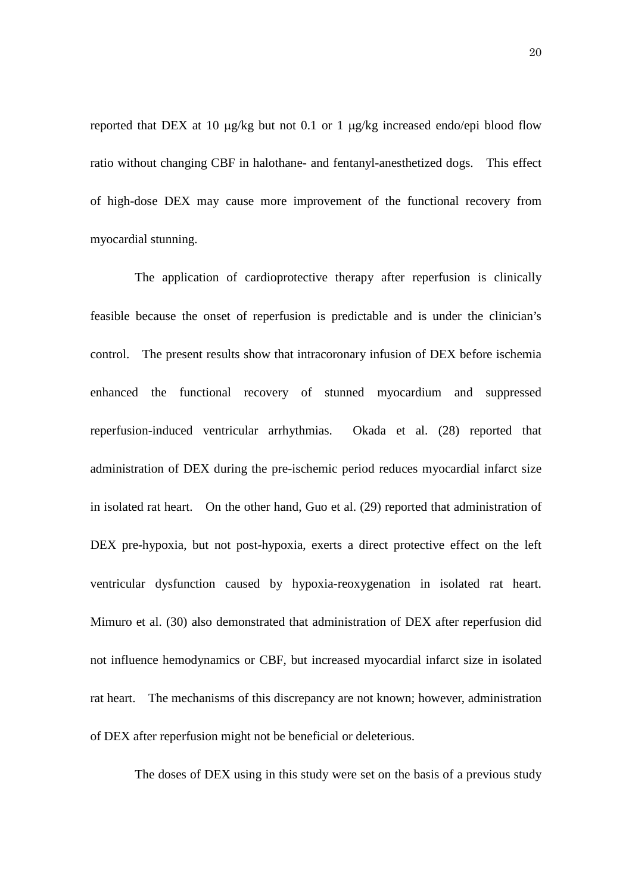reported that DEX at 10 µg/kg but not 0.1 or 1 µg/kg increased endo/epi blood flow ratio without changing CBF in halothane- and fentanyl-anesthetized dogs. This effect of high-dose DEX may cause more improvement of the functional recovery from myocardial stunning.

The application of cardioprotective therapy after reperfusion is clinically feasible because the onset of reperfusion is predictable and is under the clinician's control. The present results show that intracoronary infusion of DEX before ischemia enhanced the functional recovery of stunned myocardium and suppressed reperfusion-induced ventricular arrhythmias. Okada et al. (28) reported that administration of DEX during the pre-ischemic period reduces myocardial infarct size in isolated rat heart. On the other hand, Guo et al. (29) reported that administration of DEX pre-hypoxia, but not post-hypoxia, exerts a direct protective effect on the left ventricular dysfunction caused by hypoxia-reoxygenation in isolated rat heart. Mimuro et al. (30) also demonstrated that administration of DEX after reperfusion did not influence hemodynamics or CBF, but increased myocardial infarct size in isolated rat heart. The mechanisms of this discrepancy are not known; however, administration of DEX after reperfusion might not be beneficial or deleterious.

The doses of DEX using in this study were set on the basis of a previous study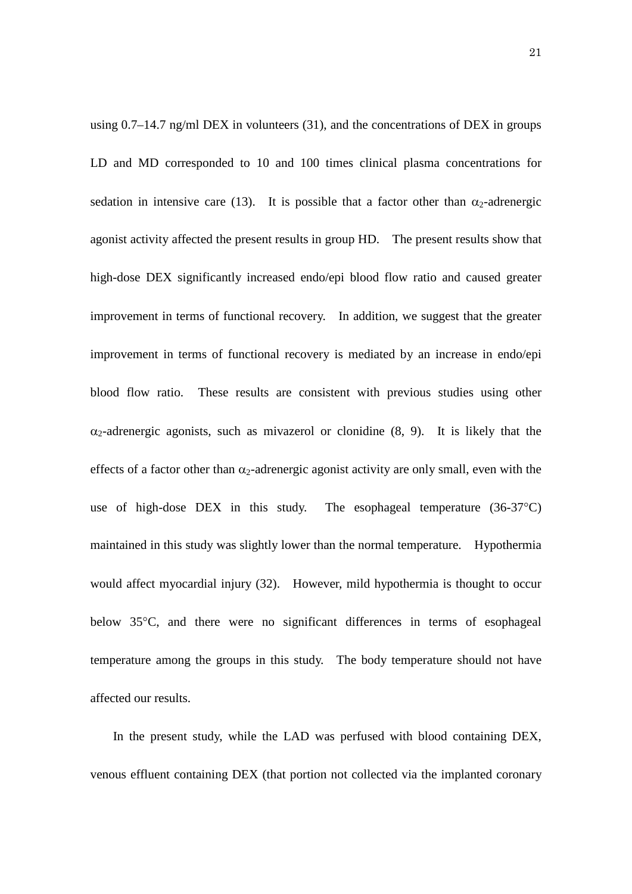using  $0.7-14.7$  ng/ml DEX in volunteers (31), and the concentrations of DEX in groups LD and MD corresponded to 10 and 100 times clinical plasma concentrations for sedation in intensive care (13). It is possible that a factor other than  $\alpha_2$ -adrenergic agonist activity affected the present results in group HD. The present results show that high-dose DEX significantly increased endo/epi blood flow ratio and caused greater improvement in terms of functional recovery. In addition, we suggest that the greater improvement in terms of functional recovery is mediated by an increase in endo/epi blood flow ratio. These results are consistent with previous studies using other  $\alpha_2$ -adrenergic agonists, such as mivazerol or clonidine (8, 9). It is likely that the effects of a factor other than  $\alpha_2$ -adrenergic agonist activity are only small, even with the use of high-dose DEX in this study. The esophageal temperature (36-37°C) maintained in this study was slightly lower than the normal temperature. Hypothermia would affect myocardial injury (32). However, mild hypothermia is thought to occur below 35°C, and there were no significant differences in terms of esophageal temperature among the groups in this study. The body temperature should not have affected our results.

In the present study, while the LAD was perfused with blood containing DEX, venous effluent containing DEX (that portion not collected via the implanted coronary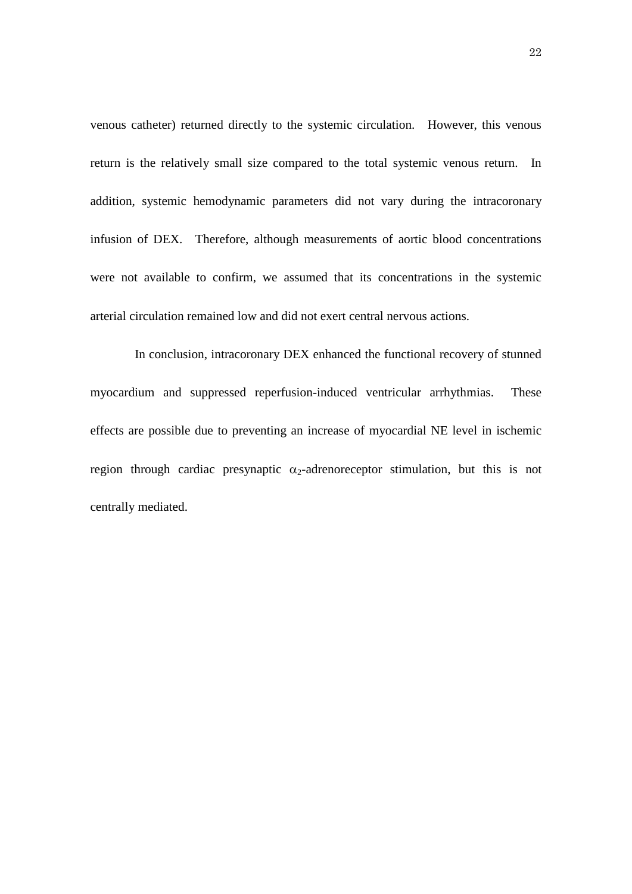venous catheter) returned directly to the systemic circulation. However, this venous return is the relatively small size compared to the total systemic venous return. In addition, systemic hemodynamic parameters did not vary during the intracoronary infusion of DEX. Therefore, although measurements of aortic blood concentrations were not available to confirm, we assumed that its concentrations in the systemic arterial circulation remained low and did not exert central nervous actions.

In conclusion, intracoronary DEX enhanced the functional recovery of stunned myocardium and suppressed reperfusion-induced ventricular arrhythmias. These effects are possible due to preventing an increase of myocardial NE level in ischemic region through cardiac presynaptic  $\alpha_2$ -adrenoreceptor stimulation, but this is not centrally mediated.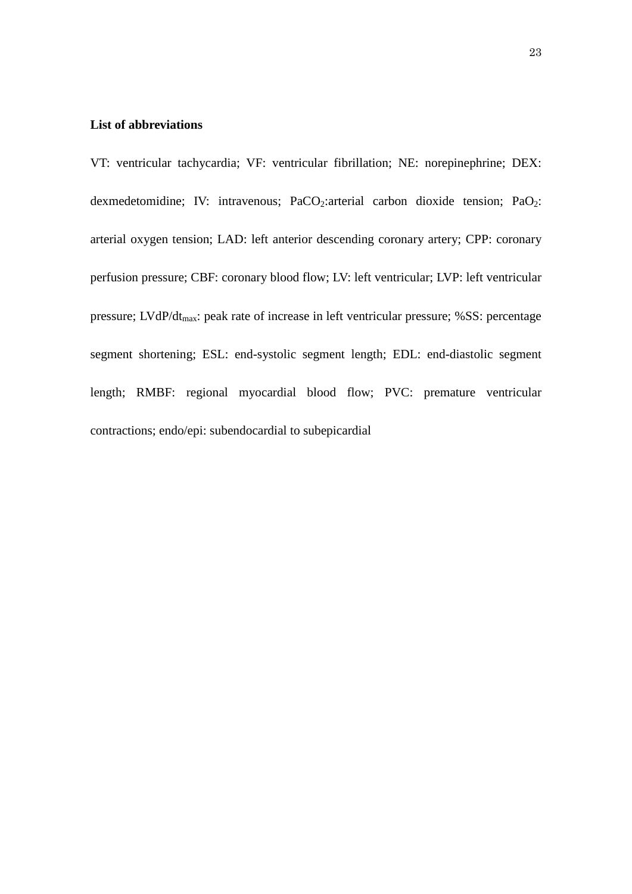# **List of abbreviations**

VT: ventricular tachycardia; VF: ventricular fibrillation; NE: norepinephrine; DEX: dexmedetomidine; IV: intravenous; PaCO<sub>2</sub>: arterial carbon dioxide tension; PaO<sub>2</sub>: arterial oxygen tension; LAD: left anterior descending coronary artery; CPP: coronary perfusion pressure; CBF: coronary blood flow; LV: left ventricular; LVP: left ventricular pressure; LVdP/dt<sub>max</sub>: peak rate of increase in left ventricular pressure; %SS: percentage segment shortening; ESL: end-systolic segment length; EDL: end-diastolic segment length; RMBF: regional myocardial blood flow; PVC: premature ventricular contractions; endo/epi: subendocardial to subepicardial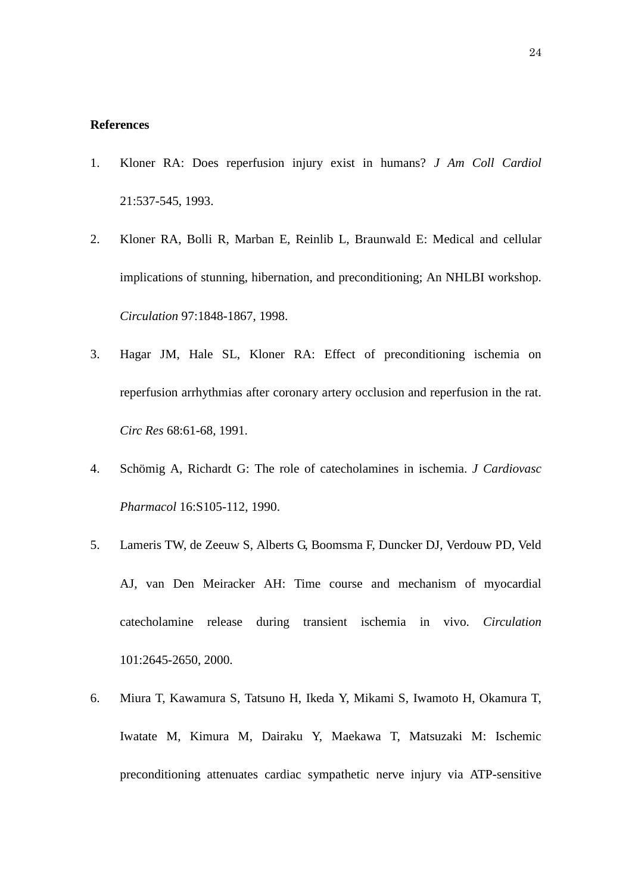### **References**

- 1. Kloner RA: Does reperfusion injury exist in humans? *J Am Coll Cardiol* 21:537-545, 1993.
- 2. Kloner RA, Bolli R, Marban E, [Reinlib](http://www.ncbi.nlm.nih.gov/pubmed?term=%22Reinlib%20L%22%5BAuthor%5D) L, [Braunwald E:](http://www.ncbi.nlm.nih.gov/pubmed?term=%22Braunwald%20E%22%5BAuthor%5D) Medical and cellular implications of stunning, hibernation, and preconditioning; An NHLBI workshop. *Circulation* 97:1848-1867, 1998.
- 3. Hagar JM, Hale SL, Kloner RA: Effect of preconditioning ischemia on reperfusion arrhythmias after coronary artery occlusion and reperfusion in the rat. *Circ Res* 68:61-68, 1991.
- 4. Schömig A, Richardt G: The role of catecholamines in ischemia. *J Cardiovasc Pharmacol* 16:S105-112, 1990.
- 5. Lameris TW, de Zeeuw S, Alberts G, [Boomsma F,](http://www.ncbi.nlm.nih.gov/pubmed?term=%22Boomsma%20F%22%5BAuthor%5D) [Duncker DJ,](http://www.ncbi.nlm.nih.gov/pubmed?term=%22Duncker%20DJ%22%5BAuthor%5D) [Verdouw PD,](http://www.ncbi.nlm.nih.gov/pubmed?term=%22Verdouw%20PD%22%5BAuthor%5D) [Veld](http://www.ncbi.nlm.nih.gov/pubmed?term=%22Veld%20AJ%22%5BAuthor%5D)  [AJ,](http://www.ncbi.nlm.nih.gov/pubmed?term=%22Veld%20AJ%22%5BAuthor%5D) [van Den Meiracker AH:](http://www.ncbi.nlm.nih.gov/pubmed?term=%22van%20Den%20Meiracker%20AH%22%5BAuthor%5D) Time course and mechanism of myocardial catecholamine release during transient ischemia in vivo. *Circulation* 101:2645-2650, 2000.
- 6. Miura T, Kawamura S, Tatsuno H, [Ikeda Y,](http://www.ncbi.nlm.nih.gov/pubmed?term=%22Ikeda%20Y%22%5BAuthor%5D) [Mikami S,](http://www.ncbi.nlm.nih.gov/pubmed?term=%22Mikami%20S%22%5BAuthor%5D) [Iwamoto H,](http://www.ncbi.nlm.nih.gov/pubmed?term=%22Iwamoto%20H%22%5BAuthor%5D) [Okamura T,](http://www.ncbi.nlm.nih.gov/pubmed?term=%22Okamura%20T%22%5BAuthor%5D) [Iwatate M,](http://www.ncbi.nlm.nih.gov/pubmed?term=%22Iwatate%20M%22%5BAuthor%5D) [Kimura M,](http://www.ncbi.nlm.nih.gov/pubmed?term=%22Kimura%20M%22%5BAuthor%5D) [Dairaku Y,](http://www.ncbi.nlm.nih.gov/pubmed?term=%22Dairaku%20Y%22%5BAuthor%5D) [Maekawa T,](http://www.ncbi.nlm.nih.gov/pubmed?term=%22Maekawa%20T%22%5BAuthor%5D) [Matsuzaki M:](http://www.ncbi.nlm.nih.gov/pubmed?term=%22Matsuzaki%20M%22%5BAuthor%5D) Ischemic preconditioning attenuates cardiac sympathetic nerve injury via ATP-sensitive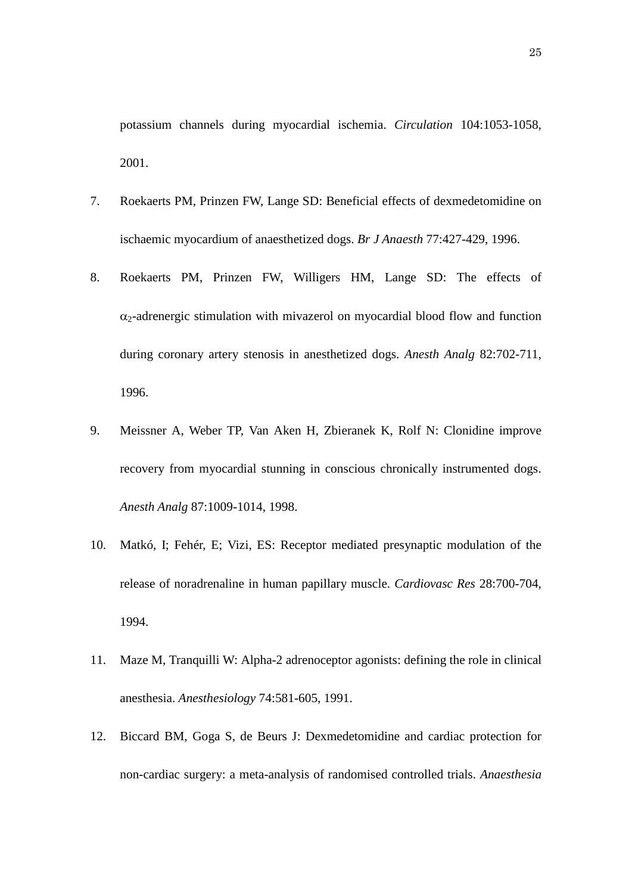potassium channels during myocardial ischemia. *Circulation* 104:1053-1058, 2001.

- 7. Roekaerts PM, Prinzen FW, Lange SD: Beneficial effects of dexmedetomidine on ischaemic myocardium of anaesthetized dogs. *Br J Anaesth* 77:427-429, 1996.
- 8. Roekaerts PM, Prinzen FW, Willigers HM, Lange SD: The effects of  $\alpha_2$ -adrenergic stimulation with mivazerol on myocardial blood flow and function during coronary artery stenosis in anesthetized dogs. *Anesth Analg* 82:702-711, 1996.
- 9. Meissner A, Weber TP, Van Aken H, [Zbieranek K,](http://www.ncbi.nlm.nih.gov/pubmed?term=%22Zbieranek%20K%22%5BAuthor%5D) [Rolf N:](http://www.ncbi.nlm.nih.gov/pubmed?term=%22Rolf%20N%22%5BAuthor%5D) Clonidine improve recovery from myocardial stunning in conscious chronically instrumented dogs. *Anesth Analg* 87:1009-1014, 1998.
- 10. Matkó, I; Fehér, E; Vizi, ES: Receptor mediated presynaptic modulation of the release of noradrenaline in human papillary muscle. *Cardiovasc Res* 28:700-704, 1994.
- 11. Maze M, Tranquilli W: Alpha-2 adrenoceptor agonists: defining the role in clinical anesthesia. *Anesthesiology* 74:581-605, 1991.
- 12. [Biccard BM,](http://www.ncbi.nlm.nih.gov/pubmed?term=%22Biccard%20BM%22%5BAuthor%5D) [Goga S,](http://www.ncbi.nlm.nih.gov/pubmed?term=%22Goga%20S%22%5BAuthor%5D) [de Beurs J:](http://www.ncbi.nlm.nih.gov/pubmed?term=%22de%20Beurs%20J%22%5BAuthor%5D) Dexmedetomidine and cardiac protection for non-cardiac surgery: a meta-analysis of randomised controlled trials. *Anaesthesia*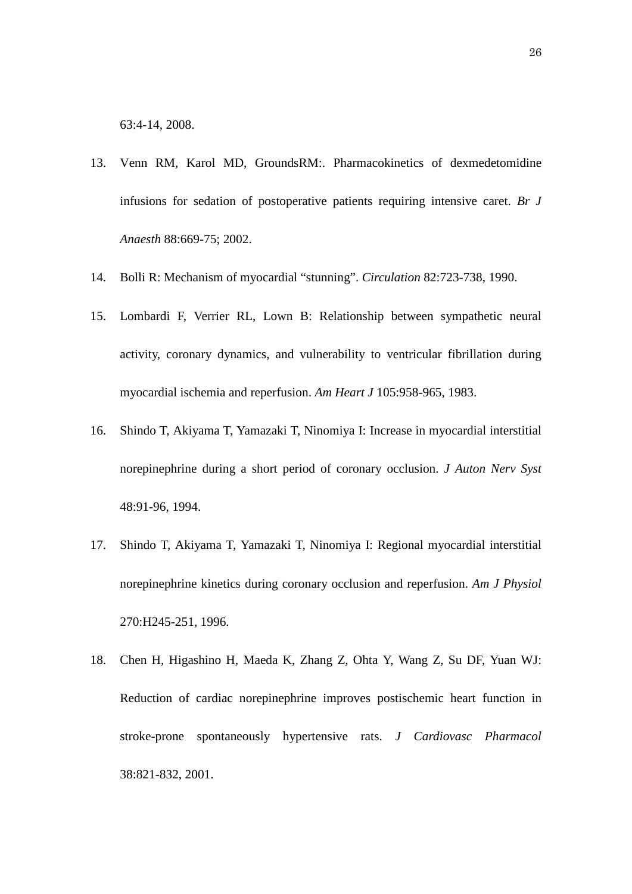63:4-14, 2008.

- 13. Venn RM, Karol MD, GroundsRM:. Pharmacokinetics of dexmedetomidine infusions for sedation of postoperative patients requiring intensive caret. *Br J Anaesth* 88:669-75; 2002.
- 14. Bolli R: Mechanism of myocardial "stunning". *Circulation* 82:723-738, 1990.
- 15. Lombardi F, Verrier RL, Lown B: Relationship between sympathetic neural activity, coronary dynamics, and vulnerability to ventricular fibrillation during myocardial ischemia and reperfusion. *Am Heart J* 105:958-965, 1983.
- 16. Shindo T, Akiyama T, Yamazaki T, Ninomiya I: Increase in myocardial interstitial norepinephrine during a short period of coronary occlusion. *J Auton Nerv Syst* 48:91-96, 1994.
- 17. Shindo T, Akiyama T, Yamazaki T, Ninomiya I: Regional myocardial interstitial norepinephrine kinetics during coronary occlusion and reperfusion. *Am J Physiol* 270:H245-251, 1996.
- 18. Chen H, Higashino H, Maeda K, [Zhang Z,](http://www.ncbi.nlm.nih.gov/pubmed?term=%22Zhang%20Z%22%5BAuthor%5D) [Ohta Y,](http://www.ncbi.nlm.nih.gov/pubmed?term=%22Ohta%20Y%22%5BAuthor%5D) [Wang Z,](http://www.ncbi.nlm.nih.gov/pubmed?term=%22Wang%20Z%22%5BAuthor%5D) [Su DF,](http://www.ncbi.nlm.nih.gov/pubmed?term=%22Su%20DF%22%5BAuthor%5D) [Yuan WJ:](http://www.ncbi.nlm.nih.gov/pubmed?term=%22Yuan%20WJ%22%5BAuthor%5D) Reduction of cardiac norepinephrine improves postischemic heart function in stroke-prone spontaneously hypertensive rats. *J Cardiovasc Pharmacol* 38:821-832, 2001.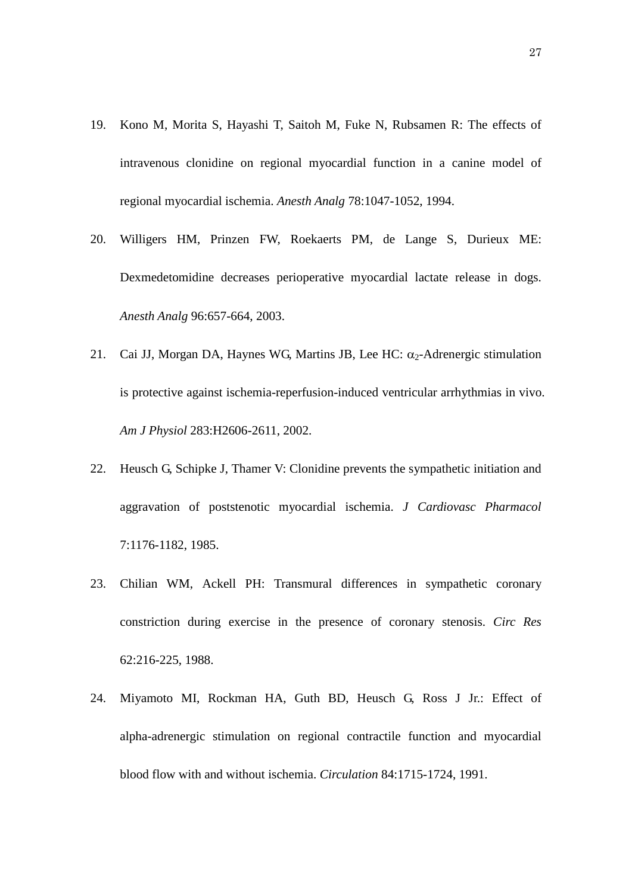- 19. Kono M, Morita S, Hayashi T, [Saitoh M,](http://www.ncbi.nlm.nih.gov/pubmed?term=%22Saitoh%20M%22%5BAuthor%5D) [Fuke N,](http://www.ncbi.nlm.nih.gov/pubmed?term=%22Fuke%20N%22%5BAuthor%5D) [Rubsamen R:](http://www.ncbi.nlm.nih.gov/pubmed?term=%22Rubsamen%20R%22%5BAuthor%5D) The effects of intravenous clonidine on regional myocardial function in a canine model of regional myocardial ischemia. *Anesth Analg* 78:1047-1052, 1994.
- 20. Willigers HM, Prinzen FW, Roekaerts PM, [de Lange S,](http://www.ncbi.nlm.nih.gov/pubmed?term=%22de%20Lange%20S%22%5BAuthor%5D) [Durieux ME:](http://www.ncbi.nlm.nih.gov/pubmed?term=%22Durieux%20ME%22%5BAuthor%5D) Dexmedetomidine decreases perioperative myocardial lactate release in dogs. *Anesth Analg* 96:657-664, 2003.
- 21. Cai JJ, Morgan DA, Haynes WG, [Martins JB,](http://www.ncbi.nlm.nih.gov/pubmed?term=%22Martins%20JB%22%5BAuthor%5D) [Lee HC:](http://www.ncbi.nlm.nih.gov/pubmed?term=%22Lee%20HC%22%5BAuthor%5D)  $\alpha_2$ -Adrenergic stimulation is protective against ischemia-reperfusion-induced ventricular arrhythmias in vivo. *Am J Physiol* 283:H2606-2611, 2002.
- 22. Heusch G, Schipke J, Thamer V: Clonidine prevents the sympathetic initiation and aggravation of poststenotic myocardial ischemia. *J Cardiovasc Pharmacol* 7:1176-1182, 1985.
- 23. Chilian WM, Ackell PH: Transmural differences in sympathetic coronary constriction during exercise in the presence of coronary stenosis. *Circ Res* 62:216-225, 1988.
- 24. Miyamoto MI, Rockman HA, Guth BD, Heusch G, Ross J Jr.: Effect of alpha-adrenergic stimulation on regional contractile function and myocardial blood flow with and without ischemia. *Circulation* 84:1715-1724, 1991.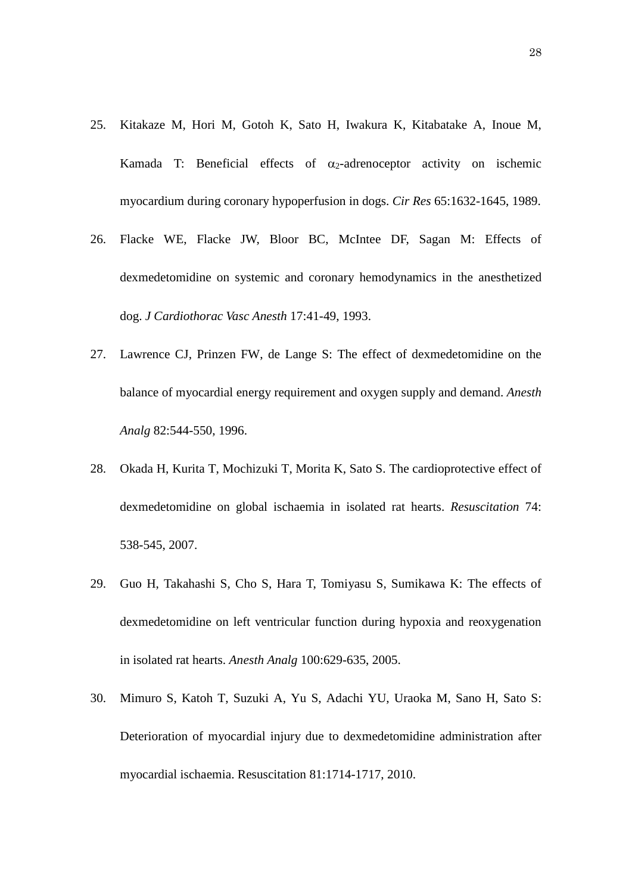- 25. Kitakaze M, Hori M, Gotoh K, [Sato H,](http://www.ncbi.nlm.nih.gov/pubmed?term=%22Sato%20H%22%5BAuthor%5D) [Iwakura K,](http://www.ncbi.nlm.nih.gov/pubmed?term=%22Iwakura%20K%22%5BAuthor%5D) [Kitabatake A,](http://www.ncbi.nlm.nih.gov/pubmed?term=%22Kitabatake%20A%22%5BAuthor%5D) [Inoue M,](http://www.ncbi.nlm.nih.gov/pubmed?term=%22Inoue%20M%22%5BAuthor%5D) [Kamada T:](http://www.ncbi.nlm.nih.gov/pubmed?term=%22Kamada%20T%22%5BAuthor%5D) Beneficial effects of  $\alpha_2$ -adrenoceptor activity on ischemic myocardium during coronary hypoperfusion in dogs. *Cir Res* 65:1632-1645, 1989.
- 26. Flacke WE, Flacke JW, Bloor BC, McIntee DF, Sagan M: Effects of dexmedetomidine on systemic and coronary hemodynamics in the anesthetized dog. *J Cardiothorac Vasc Anesth* 17:41-49, 1993.
- 27. Lawrence CJ, Prinzen FW, de Lange S: The effect of dexmedetomidine on the balance of myocardial energy requirement and oxygen supply and demand. *Anesth Analg* 82:544-550, 1996.
- 28. Okada H, Kurita T, Mochizuki T, Morita K, Sato S. The cardioprotective effect of dexmedetomidine on global ischaemia in isolated rat hearts. *Resuscitation* 74: 538-545, 2007.
- 29. Guo H, Takahashi S, Cho S, Hara T, Tomiyasu S, Sumikawa K: The effects of dexmedetomidine on left ventricular function during hypoxia and reoxygenation in isolated rat hearts. *Anesth Analg* 100:629-635, 2005.
- 30. Mimuro S, Katoh T, Suzuki A, Yu S, Adachi YU, Uraoka M, Sano H, Sato S: Deterioration of myocardial injury due to dexmedetomidine administration after myocardial ischaemia. Resuscitation 81:1714-1717, 2010.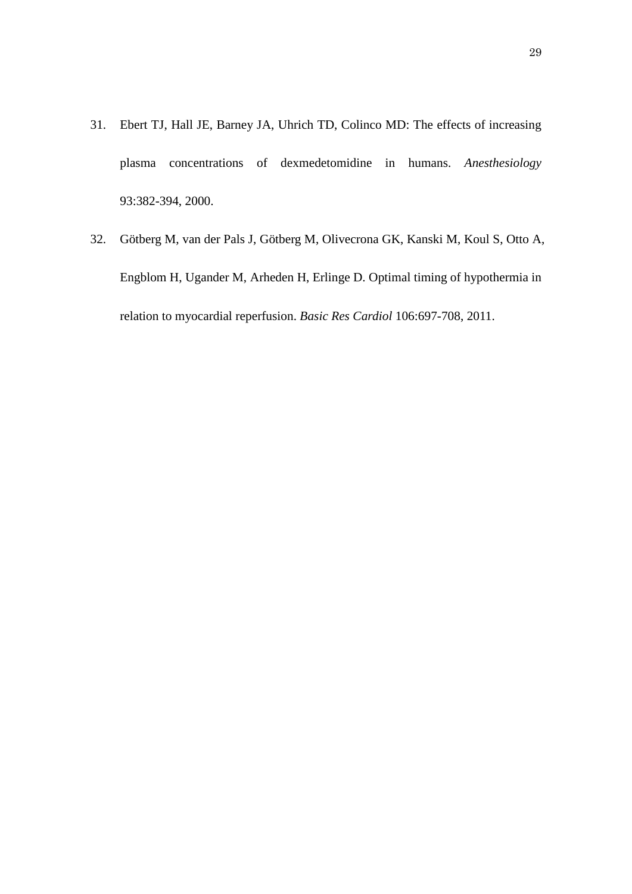- 31. Ebert TJ, Hall JE, Barney JA, Uhrich TD, Colinco MD: The effects of increasing plasma concentrations of dexmedetomidine in humans. *Anesthesiology* 93:382-394, 2000.
- 32. Götberg M, van der Pals J, Götberg M, Olivecrona GK, Kanski M, Koul S, Otto A, Engblom H, Ugander M, Arheden H, Erlinge D. [Optimal timing of hypothermia](http://www.ncbi.nlm.nih.gov/pubmed/21674301) in [relation to myocardial reperfusion.](http://www.ncbi.nlm.nih.gov/pubmed/21674301) *Basic Res Cardiol* 106:697-708, 2011.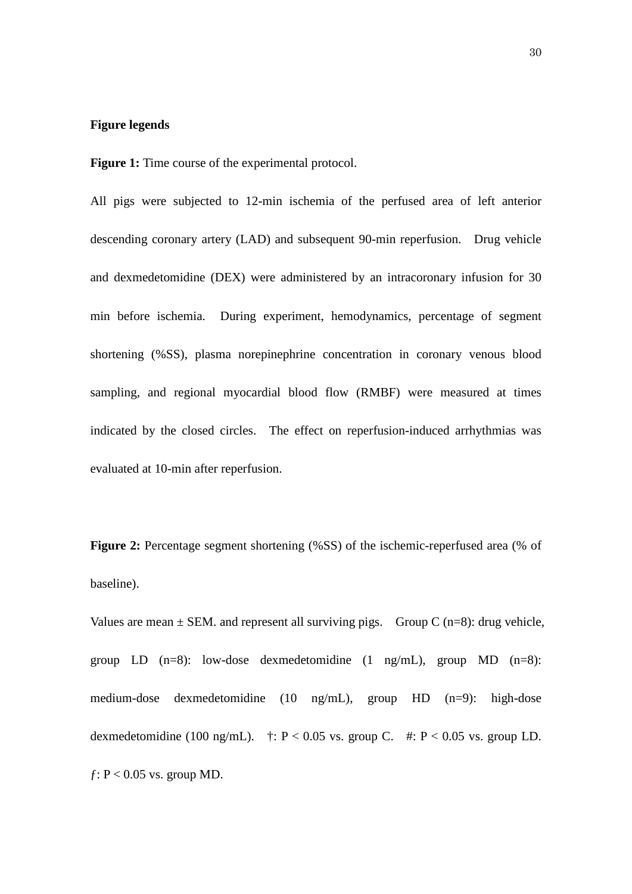## **Figure legends**

**Figure 1:** Time course of the experimental protocol.

All pigs were subjected to 12-min ischemia of the perfused area of left anterior descending coronary artery (LAD) and subsequent 90-min reperfusion. Drug vehicle and dexmedetomidine (DEX) were administered by an intracoronary infusion for 30 min before ischemia. During experiment, hemodynamics, percentage of segment shortening (%SS), plasma norepinephrine concentration in coronary venous blood sampling, and regional myocardial blood flow (RMBF) were measured at times indicated by the closed circles. The effect on reperfusion-induced arrhythmias was evaluated at 10-min after reperfusion.

**Figure 2:** Percentage segment shortening (%SS) of the ischemic-reperfused area (% of baseline).

Values are mean  $\pm$  SEM. and represent all surviving pigs. Group C (n=8): drug vehicle, group LD  $(n=8)$ : low-dose dexmedetomidine  $(1 \text{ ng/mL})$ , group MD  $(n=8)$ : medium-dose dexmedetomidine (10 ng/mL), group HD (n=9): high-dose dexmedetomidine (100 ng/mL).  $\ddagger$ : P < 0.05 vs. group C.  $\#$ : P < 0.05 vs. group LD.  $f: P < 0.05$  vs. group MD.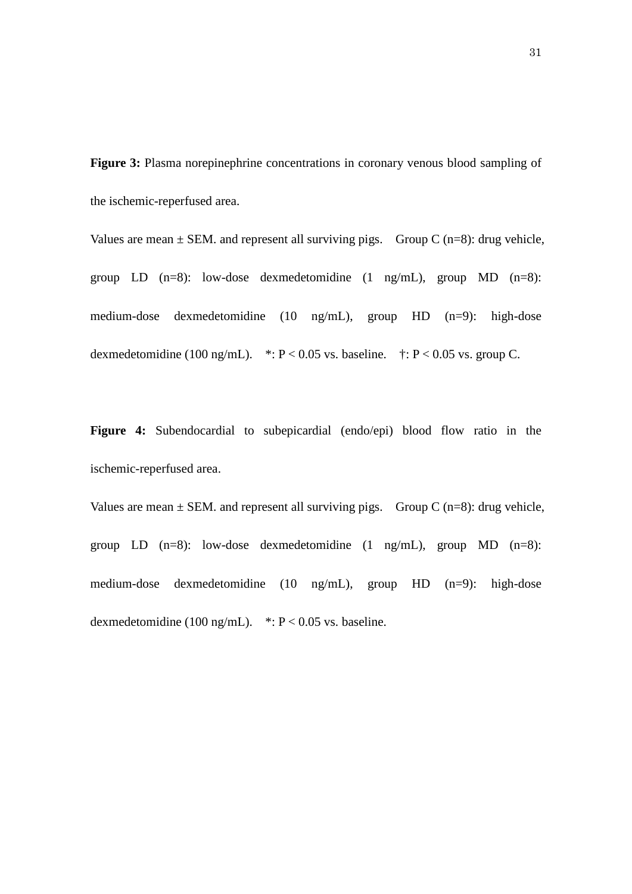**Figure 3:** Plasma norepinephrine concentrations in coronary venous blood sampling of the ischemic-reperfused area.

Values are mean  $\pm$  SEM. and represent all surviving pigs. Group C (n=8): drug vehicle, group LD  $(n=8)$ : low-dose dexmedetomidine  $(1 \text{ ng/mL})$ , group MD  $(n=8)$ : medium-dose dexmedetomidine (10 ng/mL), group HD (n=9): high-dose dexmedetomidine (100 ng/mL).  $* : P < 0.05$  vs. baseline.  $* : P < 0.05$  vs. group C.

**Figure 4:** Subendocardial to subepicardial (endo/epi) blood flow ratio in the ischemic-reperfused area.

Values are mean  $\pm$  SEM. and represent all surviving pigs. Group C (n=8): drug vehicle, group LD  $(n=8)$ : low-dose dexmedetomidine  $(1 \text{ ng/mL})$ , group MD  $(n=8)$ : medium-dose dexmedetomidine (10 ng/mL), group HD (n=9): high-dose dexmedetomidine (100 ng/mL).  $* : P < 0.05$  vs. baseline.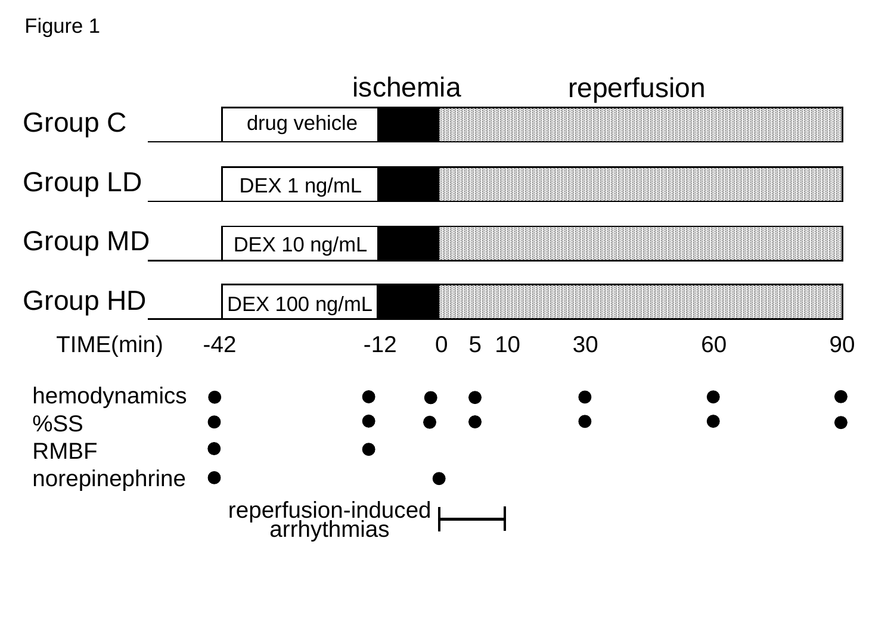|                                                      | ischemia                             |       |                | reperfusion |    |    |    |
|------------------------------------------------------|--------------------------------------|-------|----------------|-------------|----|----|----|
| Group C                                              | drug vehicle                         |       |                |             |    |    |    |
| <b>Group LD</b>                                      | DEX 1 ng/mL                          |       |                |             |    |    |    |
| <b>Group MD</b>                                      | DEX 10 ng/mL                         |       |                |             |    |    |    |
| <b>Group HD</b>                                      | DEX 100 ng/mL                        |       |                |             |    |    |    |
| TIME(min)                                            | $-42$                                | $-12$ | $\overline{0}$ | 5 10        | 30 | 60 | 90 |
| hemodynamics<br>%SS<br><b>RMBF</b><br>norepinephrine | reperfusion-induced  <br>arrhythmias |       |                |             |    |    |    |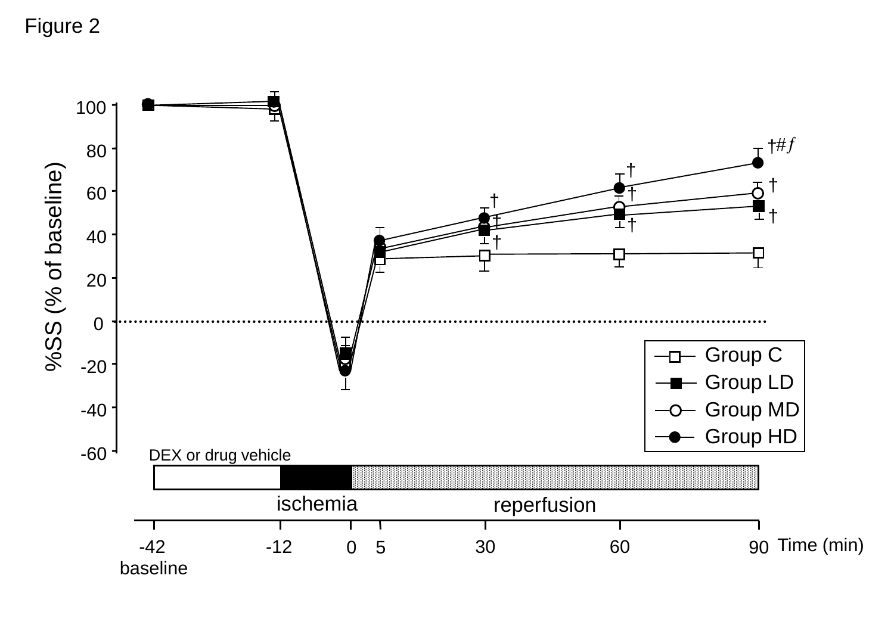Figure 2

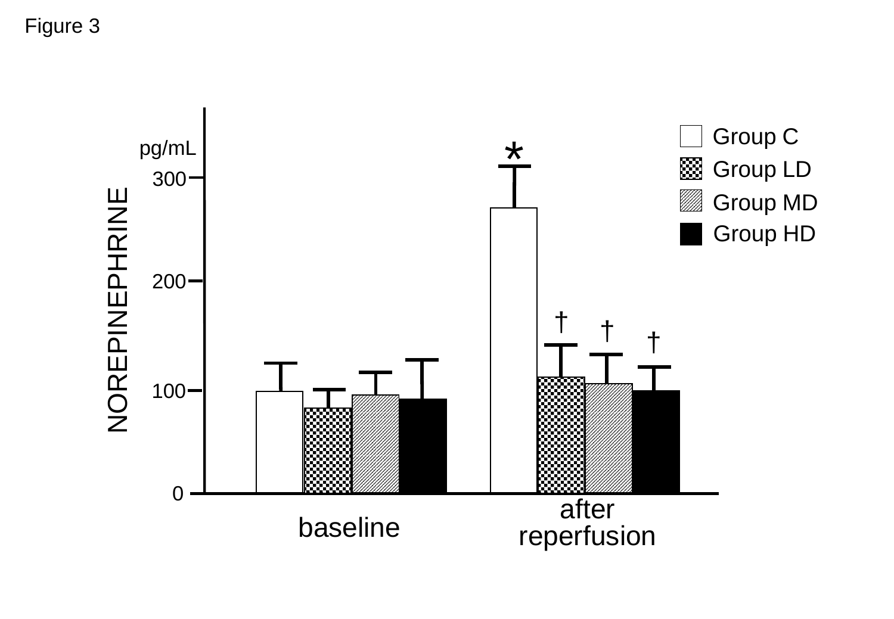Figure 3

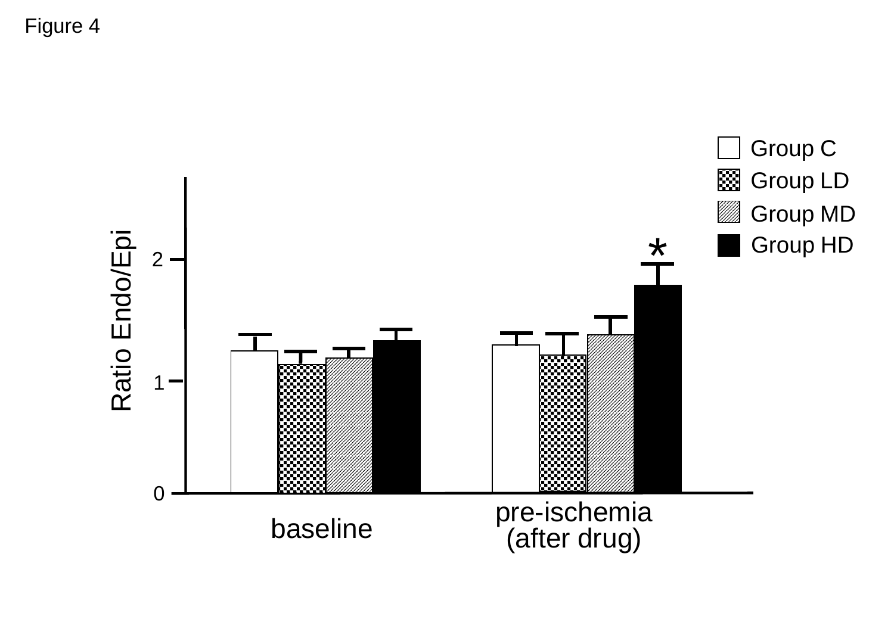Figure 4

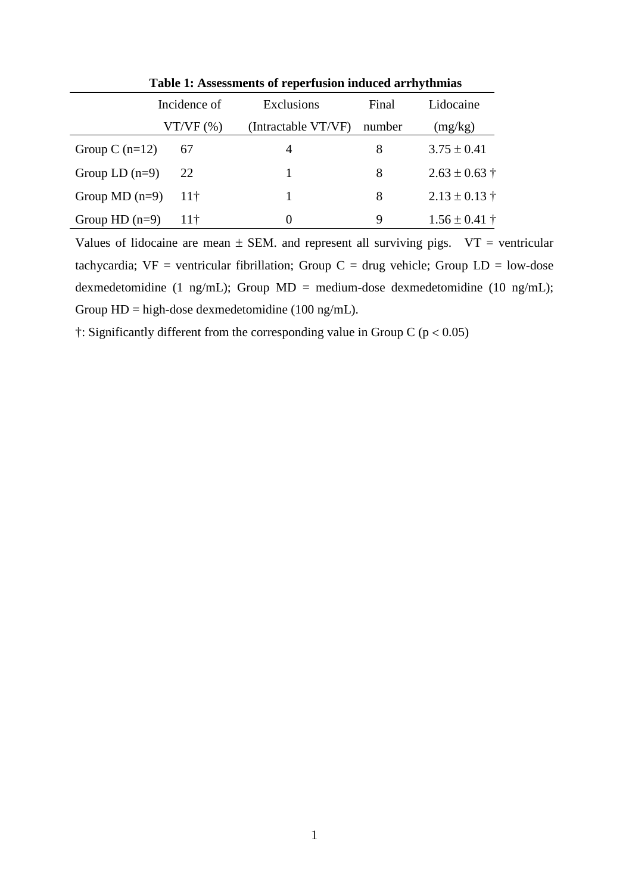|                  | Incidence of    | Exclusions          | Final  | Lidocaine         |  |  |
|------------------|-----------------|---------------------|--------|-------------------|--|--|
|                  | VT/VF(%)        | (Intractable VT/VF) | number | (mg/kg)           |  |  |
| Group C $(n=12)$ | 67              | 4                   | 8      | $3.75 \pm 0.41$   |  |  |
| Group LD $(n=9)$ | 22              |                     | 8      | $2.63 \pm 0.63$ † |  |  |
| Group MD $(n=9)$ | 11 <sup>†</sup> |                     | 8      | $2.13 \pm 0.13$ † |  |  |
| Group $HD(n=9)$  | 11 <sup>†</sup> | 0                   | 9      | $1.56 \pm 0.41$ † |  |  |

**Table 1: Assessments of reperfusion induced arrhythmias**

Values of lidocaine are mean  $\pm$  SEM. and represent all surviving pigs.  $VT = ventricular$ tachycardia;  $VF = ventricular fibrillation$ ; Group  $C = drug$  vehicle; Group  $LD = low-dose$ dexmedetomidine (1 ng/mL); Group MD = medium-dose dexmedetomidine (10 ng/mL); Group HD = high-dose dexmedetomidine (100 ng/mL).

 $\dagger$ : Significantly different from the corresponding value in Group C ( $p < 0.05$ )